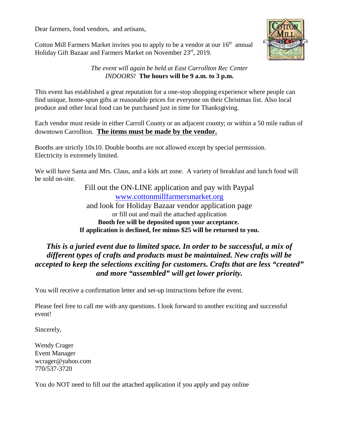Dear farmers, food vendors, and artisans,

Cotton Mill Farmers Market invites you to apply to be a vendor at our  $16<sup>th</sup>$  annual Holiday Gift Bazaar and Farmers Market on November 23rd, 2019.



## *The event will again be held at East Carrollton Rec Center INDOORS!* **The hours will be 9 a.m. to 3 p.m.**

This event has established a great reputation for a one-stop shopping experience where people can find unique, home-spun gifts at reasonable prices for everyone on their Christmas list. Also local produce and other local food can be purchased just in time for Thanksgiving.

Each vendor must reside in either Carroll County or an adjacent county; or within a 50 mile radius of downtown Carrollton. **The items must be made by the vendor.**

Booths are strictly 10x10. Double booths are not allowed except by special permission. Electricity is extremely limited.

We will have Santa and Mrs. Claus, and a kids art zone. A variety of breakfast and lunch food will be sold on-site.

> Fill out the ON-LINE application and pay with Paypal [www.cottonmillfarmersmarket.org](http://www.cottonmillfarmersmarket.org) and look for Holiday Bazaar vendor application page or fill out and mail the attached application **Booth fee will be deposited upon your acceptance. If application is declined, fee minus \$25 will be returned to you.**

## *This is a juried event due to limited space. In order to be successful, a mix of different types of crafts and products must be maintained. New crafts will be accepted to keep the selections exciting for customers. Crafts that are less "created" and more "assembled" will get lower priority.*

You will receive a confirmation letter and set-up instructions before the event.

Please feel free to call me with any questions. I look forward to another exciting and successful event!

Sincerely,

Wendy Crager Event Manager wcrager@yahoo.com 770/537-3720

You do NOT need to fill out the attached application if you apply and pay online